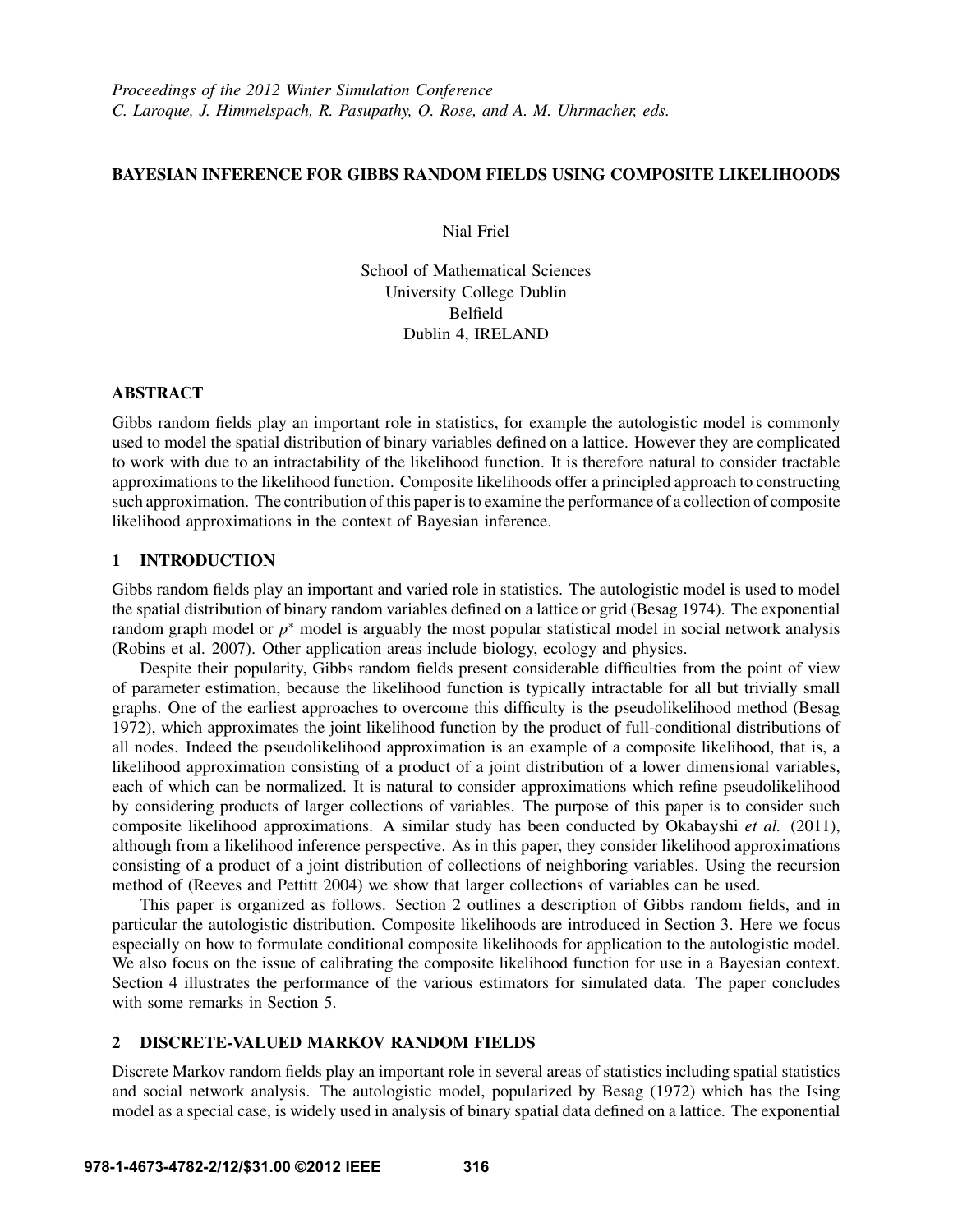# BAYESIAN INFERENCE FOR GIBBS RANDOM FIELDS USING COMPOSITE LIKELIHOODS

Nial Friel

School of Mathematical Sciences University College Dublin Belfield Dublin 4, IRELAND

## ABSTRACT

Gibbs random fields play an important role in statistics, for example the autologistic model is commonly used to model the spatial distribution of binary variables defined on a lattice. However they are complicated to work with due to an intractability of the likelihood function. It is therefore natural to consider tractable approximations to the likelihood function. Composite likelihoods offer a principled approach to constructing such approximation. The contribution of this paper is to examine the performance of a collection of composite likelihood approximations in the context of Bayesian inference.

# 1 INTRODUCTION

Gibbs random fields play an important and varied role in statistics. The autologistic model is used to model the spatial distribution of binary random variables defined on a lattice or grid (Besag 1974). The exponential random graph model or *p* <sup>∗</sup> model is arguably the most popular statistical model in social network analysis (Robins et al. 2007). Other application areas include biology, ecology and physics.

Despite their popularity, Gibbs random fields present considerable difficulties from the point of view of parameter estimation, because the likelihood function is typically intractable for all but trivially small graphs. One of the earliest approaches to overcome this difficulty is the pseudolikelihood method (Besag 1972), which approximates the joint likelihood function by the product of full-conditional distributions of all nodes. Indeed the pseudolikelihood approximation is an example of a composite likelihood, that is, a likelihood approximation consisting of a product of a joint distribution of a lower dimensional variables, each of which can be normalized. It is natural to consider approximations which refine pseudolikelihood by considering products of larger collections of variables. The purpose of this paper is to consider such composite likelihood approximations. A similar study has been conducted by Okabayshi *et al.* (2011), although from a likelihood inference perspective. As in this paper, they consider likelihood approximations consisting of a product of a joint distribution of collections of neighboring variables. Using the recursion method of (Reeves and Pettitt 2004) we show that larger collections of variables can be used.

This paper is organized as follows. Section 2 outlines a description of Gibbs random fields, and in particular the autologistic distribution. Composite likelihoods are introduced in Section 3. Here we focus especially on how to formulate conditional composite likelihoods for application to the autologistic model. We also focus on the issue of calibrating the composite likelihood function for use in a Bayesian context. Section 4 illustrates the performance of the various estimators for simulated data. The paper concludes with some remarks in Section 5.

## 2 DISCRETE-VALUED MARKOV RANDOM FIELDS

Discrete Markov random fields play an important role in several areas of statistics including spatial statistics and social network analysis. The autologistic model, popularized by Besag (1972) which has the Ising model as a special case, is widely used in analysis of binary spatial data defined on a lattice. The exponential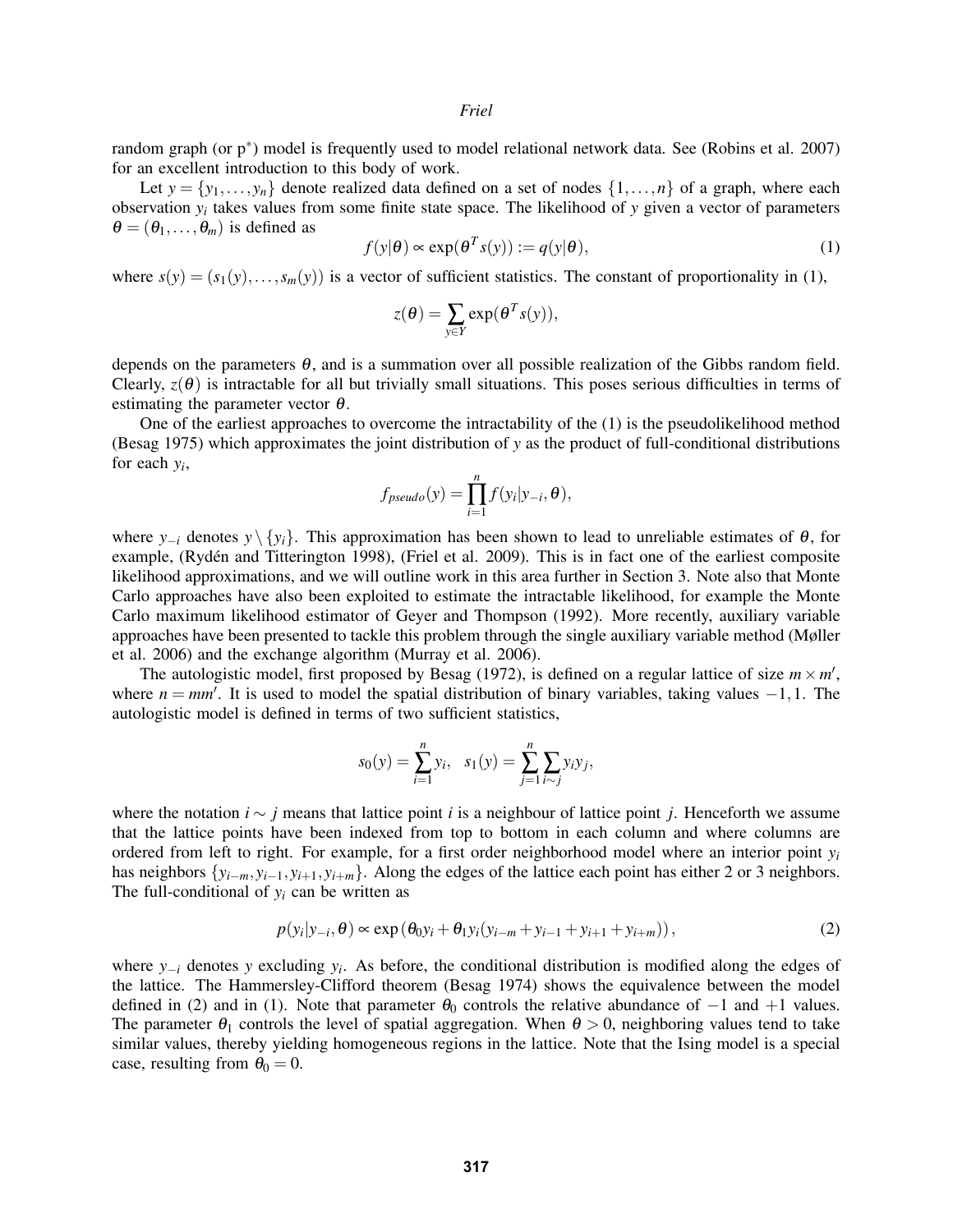#### *Friel*

random graph (or p<sup>∗</sup> ) model is frequently used to model relational network data. See (Robins et al. 2007) for an excellent introduction to this body of work.

Let  $y = \{y_1, \ldots, y_n\}$  denote realized data defined on a set of nodes  $\{1, \ldots, n\}$  of a graph, where each observation *y<sup>i</sup>* takes values from some finite state space. The likelihood of *y* given a vector of parameters  $\theta = (\theta_1, \dots, \theta_m)$  is defined as

$$
f(y|\theta) \propto \exp(\theta^T s(y)) := q(y|\theta),\tag{1}
$$

where  $s(y) = (s_1(y), \ldots, s_m(y))$  is a vector of sufficient statistics. The constant of proportionality in (1),

$$
z(\theta) = \sum_{y \in Y} \exp(\theta^T s(y)),
$$

depends on the parameters  $\theta$ , and is a summation over all possible realization of the Gibbs random field. Clearly,  $z(\theta)$  is intractable for all but trivially small situations. This poses serious difficulties in terms of estimating the parameter vector  $\theta$ .

One of the earliest approaches to overcome the intractability of the (1) is the pseudolikelihood method (Besag 1975) which approximates the joint distribution of *y* as the product of full-conditional distributions for each *y<sup>i</sup>* ,

$$
f_{pseudo}(y) = \prod_{i=1}^{n} f(y_i|y_{-i}, \theta),
$$

where  $y_{-i}$  denotes  $y \setminus \{y_i\}$ . This approximation has been shown to lead to unreliable estimates of  $\theta$ , for example, (Rydén and Titterington 1998), (Friel et al. 2009). This is in fact one of the earliest composite likelihood approximations, and we will outline work in this area further in Section 3. Note also that Monte Carlo approaches have also been exploited to estimate the intractable likelihood, for example the Monte Carlo maximum likelihood estimator of Geyer and Thompson (1992). More recently, auxiliary variable approaches have been presented to tackle this problem through the single auxiliary variable method (Møller et al. 2006) and the exchange algorithm (Murray et al. 2006).

The autologistic model, first proposed by Besag (1972), is defined on a regular lattice of size  $m \times m'$ , where  $n = mm'$ . It is used to model the spatial distribution of binary variables, taking values  $-1, 1$ . The autologistic model is defined in terms of two sufficient statistics,

$$
s_0(y) = \sum_{i=1}^n y_i
$$
,  $s_1(y) = \sum_{j=1}^n \sum_{i \sim j} y_i y_j$ ,

where the notation *i* ∼ *j* means that lattice point *i* is a neighbour of lattice point *j*. Henceforth we assume that the lattice points have been indexed from top to bottom in each column and where columns are ordered from left to right. For example, for a first order neighborhood model where an interior point  $y_i$ has neighbors  $\{y_{i-m}, y_{i-1}, y_{i+1}, y_{i+m}\}$ . Along the edges of the lattice each point has either 2 or 3 neighbors. The full-conditional of  $y_i$  can be written as

$$
p(y_i|y_{-i}, \theta) \propto \exp(\theta_0 y_i + \theta_1 y_i (y_{i-m} + y_{i-1} + y_{i+1} + y_{i+m})),
$$
\n(2)

where *y*−*<sup>i</sup>* denotes *y* excluding *y<sup>i</sup>* . As before, the conditional distribution is modified along the edges of the lattice. The Hammersley-Clifford theorem (Besag 1974) shows the equivalence between the model defined in (2) and in (1). Note that parameter  $\theta_0$  controls the relative abundance of  $-1$  and  $+1$  values. The parameter  $\theta_1$  controls the level of spatial aggregation. When  $\theta > 0$ , neighboring values tend to take similar values, thereby yielding homogeneous regions in the lattice. Note that the Ising model is a special case, resulting from  $\theta_0 = 0$ .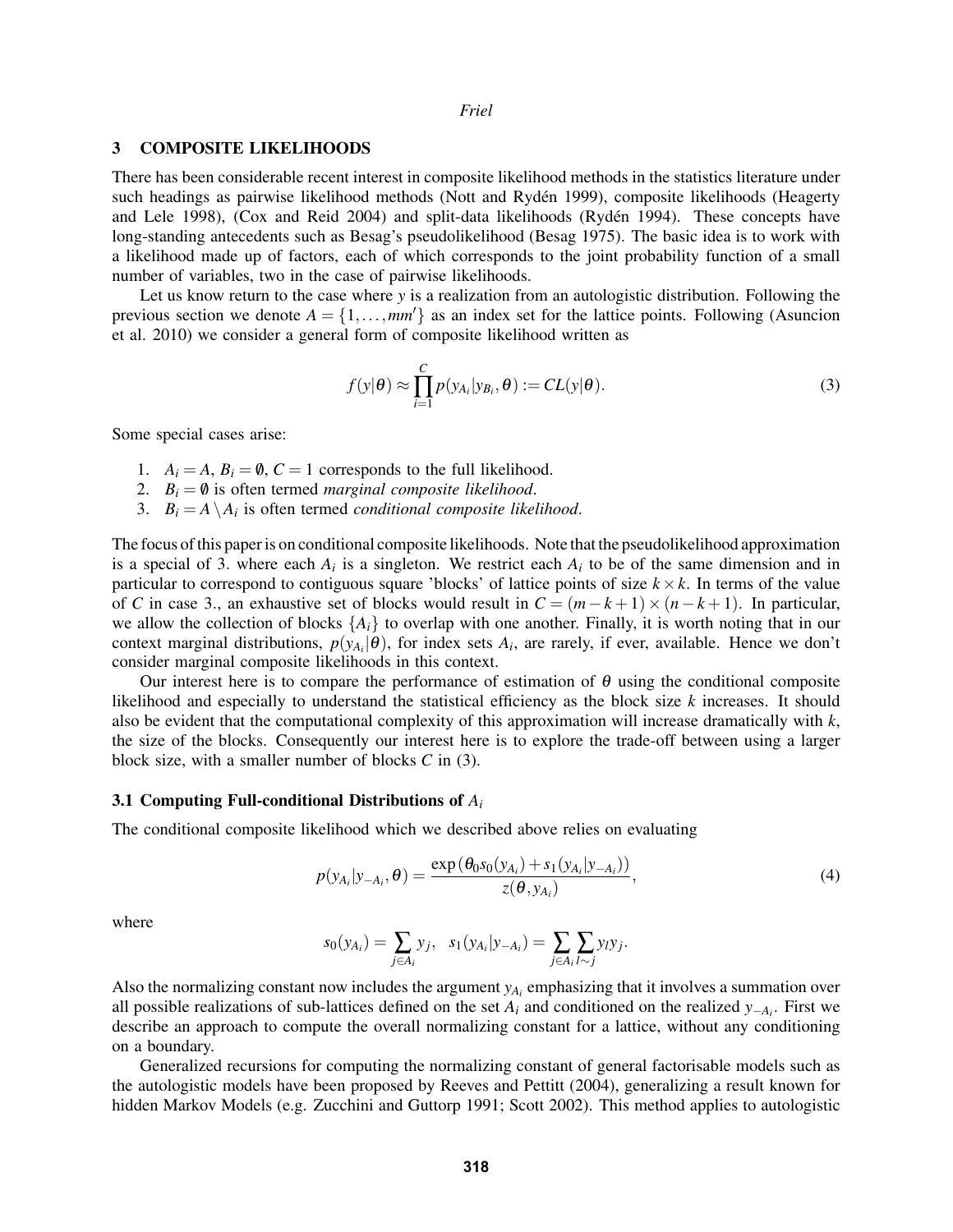## 3 COMPOSITE LIKELIHOODS

There has been considerable recent interest in composite likelihood methods in the statistics literature under such headings as pairwise likelihood methods (Nott and Rydén 1999), composite likelihoods (Heagerty and Lele 1998), (Cox and Reid 2004) and split-data likelihoods (Rydén 1994). These concepts have long-standing antecedents such as Besag's pseudolikelihood (Besag 1975). The basic idea is to work with a likelihood made up of factors, each of which corresponds to the joint probability function of a small number of variables, two in the case of pairwise likelihoods.

Let us know return to the case where *y* is a realization from an autologistic distribution. Following the previous section we denote  $A = \{1, \ldots, \frac{mm}{\}$  as an index set for the lattice points. Following (Asuncion et al. 2010) we consider a general form of composite likelihood written as

$$
f(y|\theta) \approx \prod_{i=1}^{C} p(y_{A_i}|y_{B_i}, \theta) := CL(y|\theta).
$$
 (3)

Some special cases arise:

- 1.  $A_i = A$ ,  $B_i = \emptyset$ ,  $C = 1$  corresponds to the full likelihood.
- 2.  $B_i = \emptyset$  is often termed *marginal composite likelihood*.
- 3.  $B_i = A \setminus A_i$  is often termed *conditional composite likelihood*.

The focus of this paper is on conditional composite likelihoods. Note that the pseudolikelihood approximation is a special of 3. where each  $A_i$  is a singleton. We restrict each  $A_i$  to be of the same dimension and in particular to correspond to contiguous square 'blocks' of lattice points of size  $k \times k$ . In terms of the value of *C* in case 3., an exhaustive set of blocks would result in  $C = (m-k+1) \times (n-k+1)$ . In particular, we allow the collection of blocks  $\{A_i\}$  to overlap with one another. Finally, it is worth noting that in our context marginal distributions,  $p(y_{A_i}|\theta)$ , for index sets  $A_i$ , are rarely, if ever, available. Hence we don't consider marginal composite likelihoods in this context.

Our interest here is to compare the performance of estimation of  $\theta$  using the conditional composite likelihood and especially to understand the statistical efficiency as the block size *k* increases. It should also be evident that the computational complexity of this approximation will increase dramatically with *k*, the size of the blocks. Consequently our interest here is to explore the trade-off between using a larger block size, with a smaller number of blocks *C* in (3).

#### 3.1 Computing Full-conditional Distributions of *A<sup>i</sup>*

The conditional composite likelihood which we described above relies on evaluating

$$
p(y_{A_i}|y_{-A_i}, \theta) = \frac{\exp(\theta_0 s_0(y_{A_i}) + s_1(y_{A_i}|y_{-A_i}))}{z(\theta, y_{A_i})},
$$
\n(4)

where

$$
s_0(y_{A_i}) = \sum_{j \in A_i} y_j, \quad s_1(y_{A_i}|y_{-A_i}) = \sum_{j \in A_i} \sum_{l \sim j} y_l y_j.
$$

Also the normalizing constant now includes the argument  $y_{A_i}$  emphasizing that it involves a summation over all possible realizations of sub-lattices defined on the set *A<sup>i</sup>* and conditioned on the realized *y*−*A<sup>i</sup>* . First we describe an approach to compute the overall normalizing constant for a lattice, without any conditioning on a boundary.

Generalized recursions for computing the normalizing constant of general factorisable models such as the autologistic models have been proposed by Reeves and Pettitt (2004), generalizing a result known for hidden Markov Models (e.g. Zucchini and Guttorp 1991; Scott 2002). This method applies to autologistic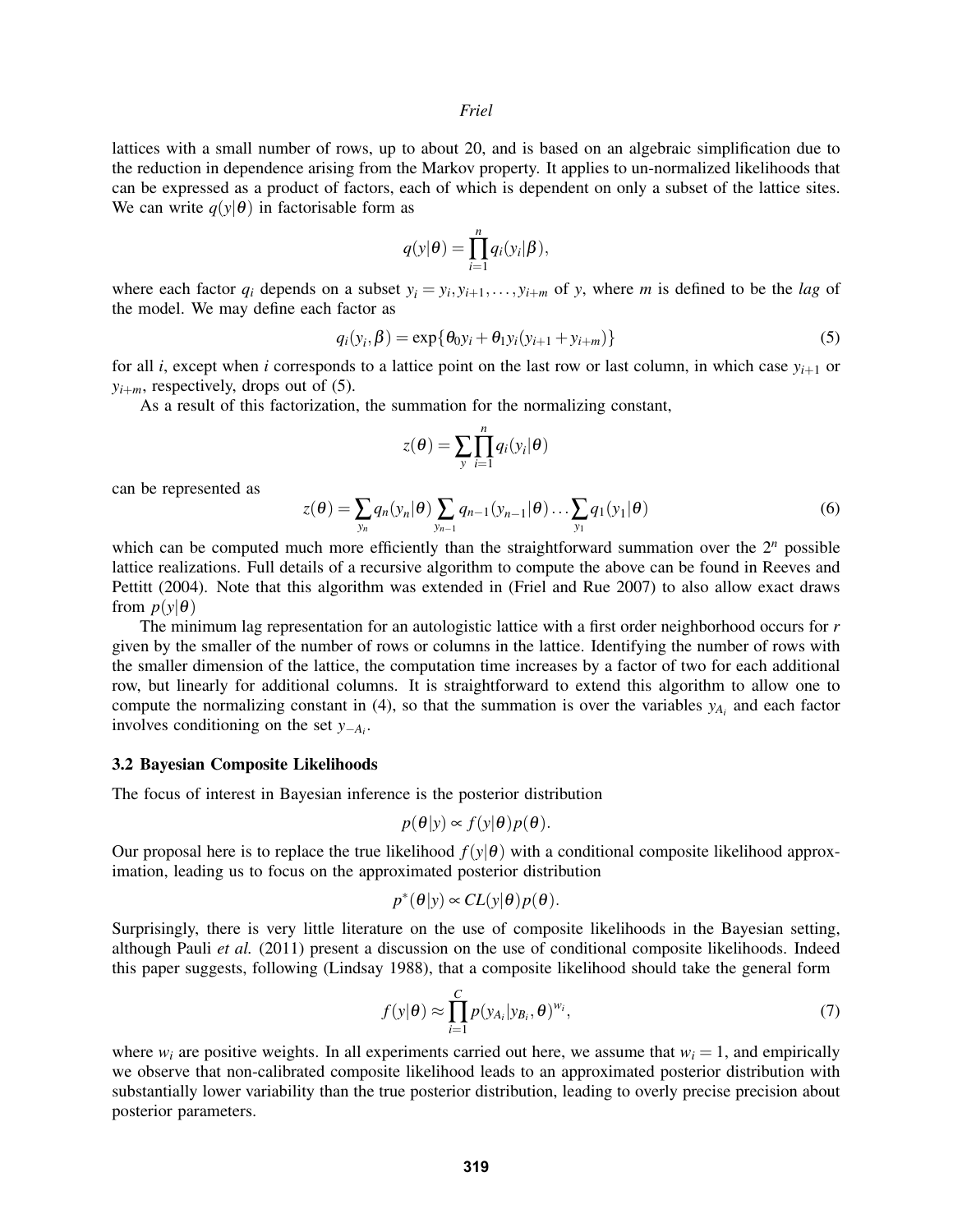lattices with a small number of rows, up to about 20, and is based on an algebraic simplification due to the reduction in dependence arising from the Markov property. It applies to un-normalized likelihoods that can be expressed as a product of factors, each of which is dependent on only a subset of the lattice sites. We can write  $q(y|\theta)$  in factorisable form as

$$
q(\mathbf{y}|\boldsymbol{\theta}) = \prod_{i=1}^{n} q_i(\mathbf{y}_i|\boldsymbol{\beta}),
$$

where each factor  $q_i$  depends on a subset  $y_i = y_i, y_{i+1}, \ldots, y_{i+m}$  of *y*, where *m* is defined to be the *lag* of the model. We may define each factor as

$$
q_i(y_i, \beta) = \exp\{\theta_0 y_i + \theta_1 y_i (y_{i+1} + y_{i+m})\}
$$
 (5)

for all *i*, except when *i* corresponds to a lattice point on the last row or last column, in which case  $y_{i+1}$  or  $y_{i+m}$ , respectively, drops out of (5).

As a result of this factorization, the summation for the normalizing constant,

$$
z(\boldsymbol{\theta}) = \sum_{y} \prod_{i=1}^{n} q_i(y_i | \boldsymbol{\theta})
$$

can be represented as

$$
z(\theta) = \sum_{y_n} q_n(y_n|\theta) \sum_{y_{n-1}} q_{n-1}(y_{n-1}|\theta) \dots \sum_{y_1} q_1(y_1|\theta)
$$
\n
$$
(6)
$$

which can be computed much more efficiently than the straightforward summation over the  $2^n$  possible lattice realizations. Full details of a recursive algorithm to compute the above can be found in Reeves and Pettitt (2004). Note that this algorithm was extended in (Friel and Rue 2007) to also allow exact draws from  $p(y|\theta)$ 

The minimum lag representation for an autologistic lattice with a first order neighborhood occurs for *r* given by the smaller of the number of rows or columns in the lattice. Identifying the number of rows with the smaller dimension of the lattice, the computation time increases by a factor of two for each additional row, but linearly for additional columns. It is straightforward to extend this algorithm to allow one to compute the normalizing constant in (4), so that the summation is over the variables  $y_{A_i}$  and each factor involves conditioning on the set *y*−*A<sup>i</sup>* .

#### 3.2 Bayesian Composite Likelihoods

The focus of interest in Bayesian inference is the posterior distribution

$$
p(\theta|y) \propto f(y|\theta)p(\theta).
$$

Our proposal here is to replace the true likelihood  $f(y|\theta)$  with a conditional composite likelihood approximation, leading us to focus on the approximated posterior distribution

$$
p^*(\theta|y) \propto CL(y|\theta)p(\theta).
$$

Surprisingly, there is very little literature on the use of composite likelihoods in the Bayesian setting, although Pauli *et al.* (2011) present a discussion on the use of conditional composite likelihoods. Indeed this paper suggests, following (Lindsay 1988), that a composite likelihood should take the general form

$$
f(\mathbf{y}|\boldsymbol{\theta}) \approx \prod_{i=1}^{C} p(y_{A_i}|y_{B_i}, \boldsymbol{\theta})^{w_i},
$$
\n(7)

where  $w_i$  are positive weights. In all experiments carried out here, we assume that  $w_i = 1$ , and empirically we observe that non-calibrated composite likelihood leads to an approximated posterior distribution with substantially lower variability than the true posterior distribution, leading to overly precise precision about posterior parameters.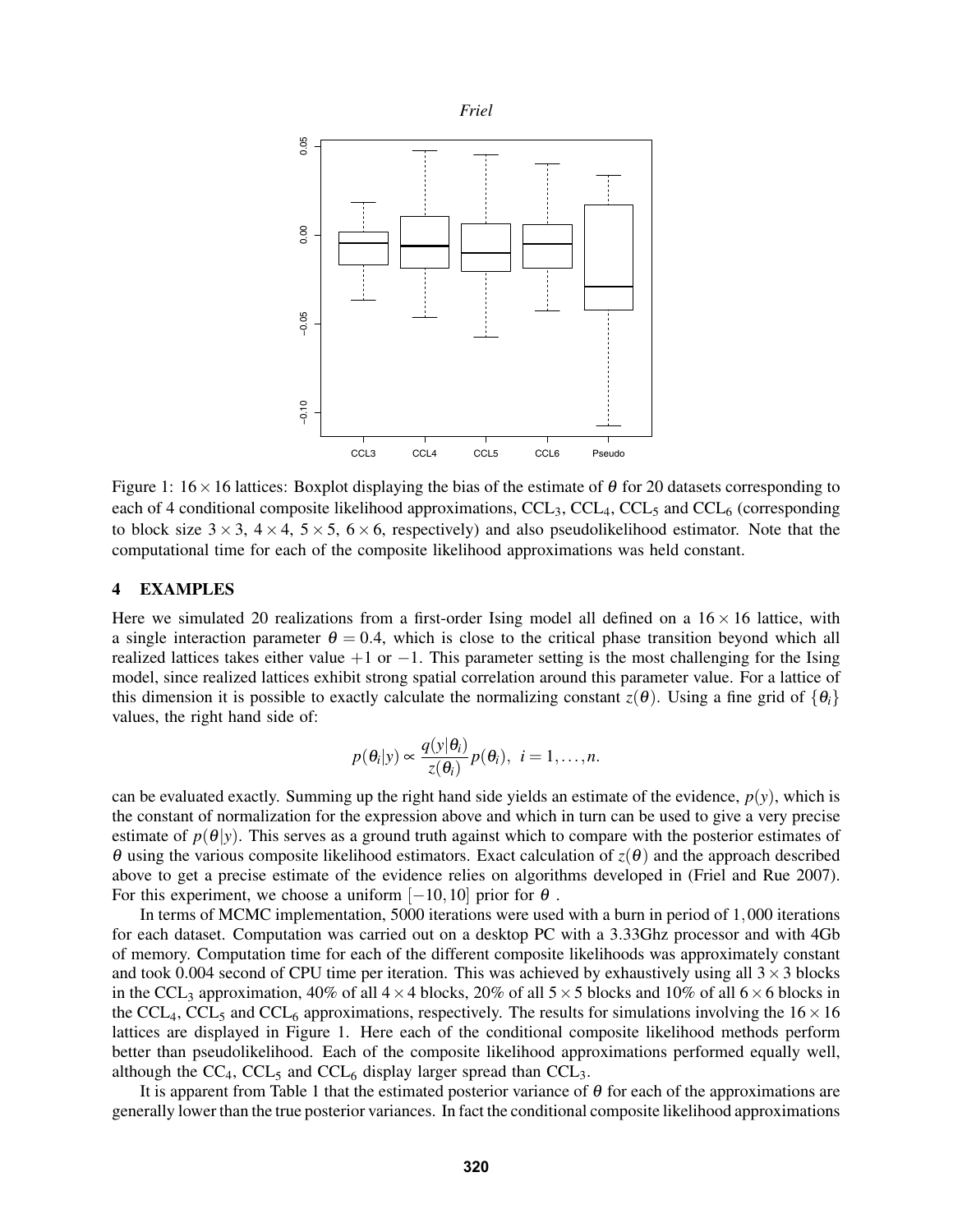

Figure 1:  $16 \times 16$  lattices: Boxplot displaying the bias of the estimate of  $\theta$  for 20 datasets corresponding to each of 4 conditional composite likelihood approximations, CCL<sub>3</sub>, CCL<sub>4</sub>, CCL<sub>5</sub> and CCL<sub>6</sub> (corresponding to block size  $3 \times 3$ ,  $4 \times 4$ ,  $5 \times 5$ ,  $6 \times 6$ , respectively) and also pseudolikelihood estimator. Note that the computational time for each of the composite likelihood approximations was held constant.

# 4 EXAMPLES

Here we simulated 20 realizations from a first-order Ising model all defined on a  $16 \times 16$  lattice, with a single interaction parameter  $\theta = 0.4$ , which is close to the critical phase transition beyond which all realized lattices takes either value +1 or −1. This parameter setting is the most challenging for the Ising model, since realized lattices exhibit strong spatial correlation around this parameter value. For a lattice of this dimension it is possible to exactly calculate the normalizing constant  $z(\theta)$ . Using a fine grid of  $\{\theta_i\}$ values, the right hand side of:

$$
p(\theta_i|y) \propto \frac{q(y|\theta_i)}{z(\theta_i)}p(\theta_i), i = 1,...,n.
$$

can be evaluated exactly. Summing up the right hand side yields an estimate of the evidence,  $p(y)$ , which is the constant of normalization for the expression above and which in turn can be used to give a very precise estimate of  $p(\theta|y)$ . This serves as a ground truth against which to compare with the posterior estimates of θ using the various composite likelihood estimators. Exact calculation of *z*(θ) and the approach described above to get a precise estimate of the evidence relies on algorithms developed in (Friel and Rue 2007). For this experiment, we choose a uniform  $[-10,10]$  prior for  $\theta$ .

In terms of MCMC implementation, 5000 iterations were used with a burn in period of 1,000 iterations for each dataset. Computation was carried out on a desktop PC with a 3.33Ghz processor and with 4Gb of memory. Computation time for each of the different composite likelihoods was approximately constant and took 0.004 second of CPU time per iteration. This was achieved by exhaustively using all  $3 \times 3$  blocks in the CCL<sub>3</sub> approximation, 40% of all  $4 \times 4$  blocks, 20% of all  $5 \times 5$  blocks and 10% of all  $6 \times 6$  blocks in the CCL<sub>4</sub>, CCL<sub>5</sub> and CCL<sub>6</sub> approximations, respectively. The results for simulations involving the  $16 \times 16$ lattices are displayed in Figure 1. Here each of the conditional composite likelihood methods perform better than pseudolikelihood. Each of the composite likelihood approximations performed equally well, although the  $CC_4$ ,  $CCL_5$  and  $CCL_6$  display larger spread than  $CCL_3$ .

It is apparent from Table 1 that the estimated posterior variance of  $\theta$  for each of the approximations are generally lower than the true posterior variances. In fact the conditional composite likelihood approximations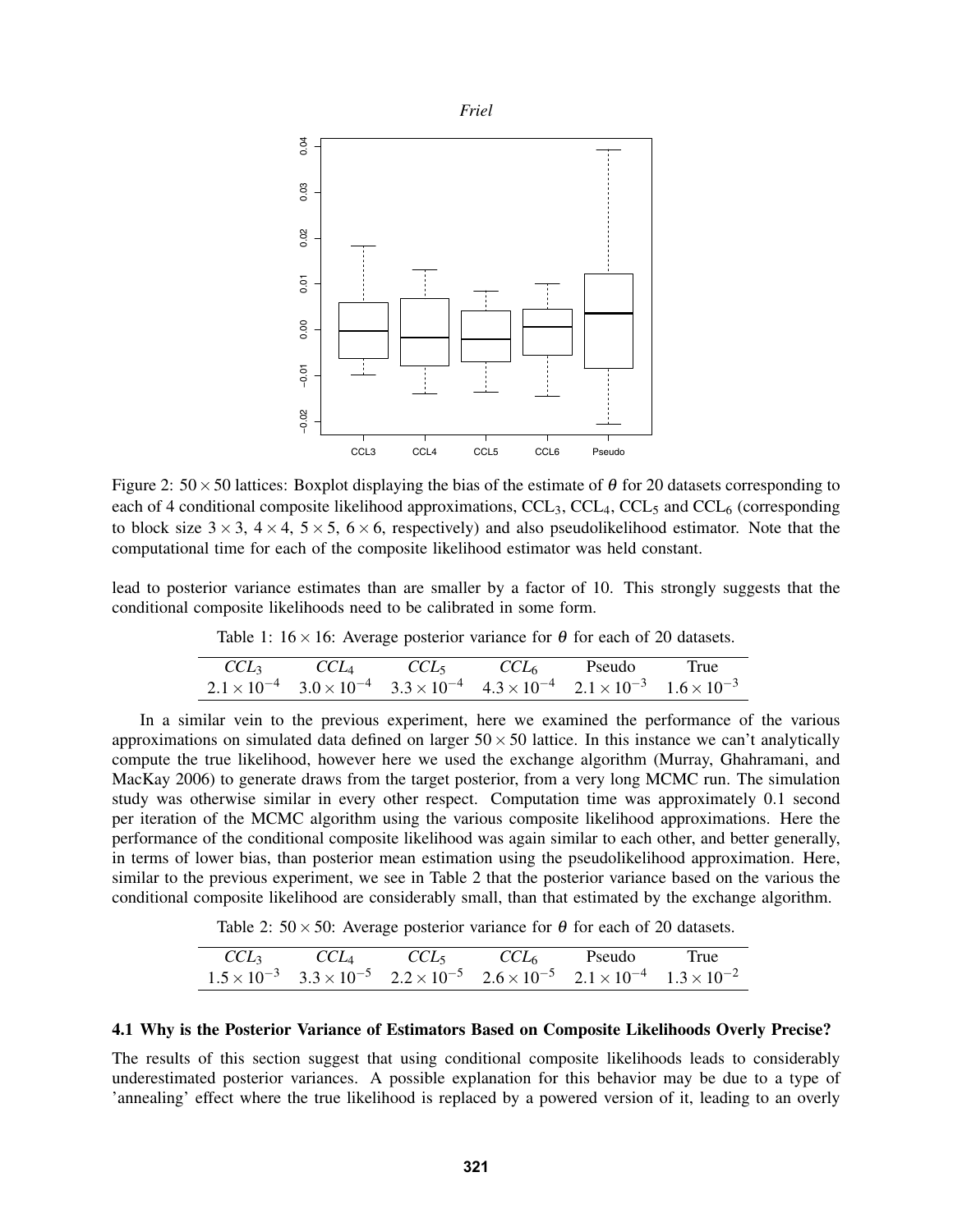

Figure 2:  $50 \times 50$  lattices: Boxplot displaying the bias of the estimate of  $\theta$  for 20 datasets corresponding to each of 4 conditional composite likelihood approximations, CCL<sub>3</sub>, CCL<sub>4</sub>, CCL<sub>5</sub> and CCL<sub>6</sub> (corresponding to block size  $3 \times 3$ ,  $4 \times 4$ ,  $5 \times 5$ ,  $6 \times 6$ , respectively) and also pseudolikelihood estimator. Note that the computational time for each of the composite likelihood estimator was held constant.

lead to posterior variance estimates than are smaller by a factor of 10. This strongly suggests that the conditional composite likelihoods need to be calibrated in some form.

Table 1:  $16 \times 16$ : Average posterior variance for  $\theta$  for each of 20 datasets.

|  |  | $CCL_3$ $CCL_4$ $CCL_5$ $CCL_6$ Pseudo True                                                                                   |  |
|--|--|-------------------------------------------------------------------------------------------------------------------------------|--|
|  |  | $2.1 \times 10^{-4}$ $3.0 \times 10^{-4}$ $3.3 \times 10^{-4}$ $4.3 \times 10^{-4}$ $2.1 \times 10^{-3}$ $1.6 \times 10^{-3}$ |  |

In a similar vein to the previous experiment, here we examined the performance of the various approximations on simulated data defined on larger  $50 \times 50$  lattice. In this instance we can't analytically compute the true likelihood, however here we used the exchange algorithm (Murray, Ghahramani, and MacKay 2006) to generate draws from the target posterior, from a very long MCMC run. The simulation study was otherwise similar in every other respect. Computation time was approximately 0.1 second per iteration of the MCMC algorithm using the various composite likelihood approximations. Here the performance of the conditional composite likelihood was again similar to each other, and better generally, in terms of lower bias, than posterior mean estimation using the pseudolikelihood approximation. Here, similar to the previous experiment, we see in Table 2 that the posterior variance based on the various the conditional composite likelihood are considerably small, than that estimated by the exchange algorithm.

Table 2:  $50 \times 50$ : Average posterior variance for  $\theta$  for each of 20 datasets.

|  |  | $CCL_3$ $CCL_4$ $CCL_5$ $CCL_6$ Pseudo True                                                                                   |  |
|--|--|-------------------------------------------------------------------------------------------------------------------------------|--|
|  |  | $1.5 \times 10^{-3}$ $3.3 \times 10^{-5}$ $2.2 \times 10^{-5}$ $2.6 \times 10^{-5}$ $2.1 \times 10^{-4}$ $1.3 \times 10^{-2}$ |  |

#### 4.1 Why is the Posterior Variance of Estimators Based on Composite Likelihoods Overly Precise?

The results of this section suggest that using conditional composite likelihoods leads to considerably underestimated posterior variances. A possible explanation for this behavior may be due to a type of 'annealing' effect where the true likelihood is replaced by a powered version of it, leading to an overly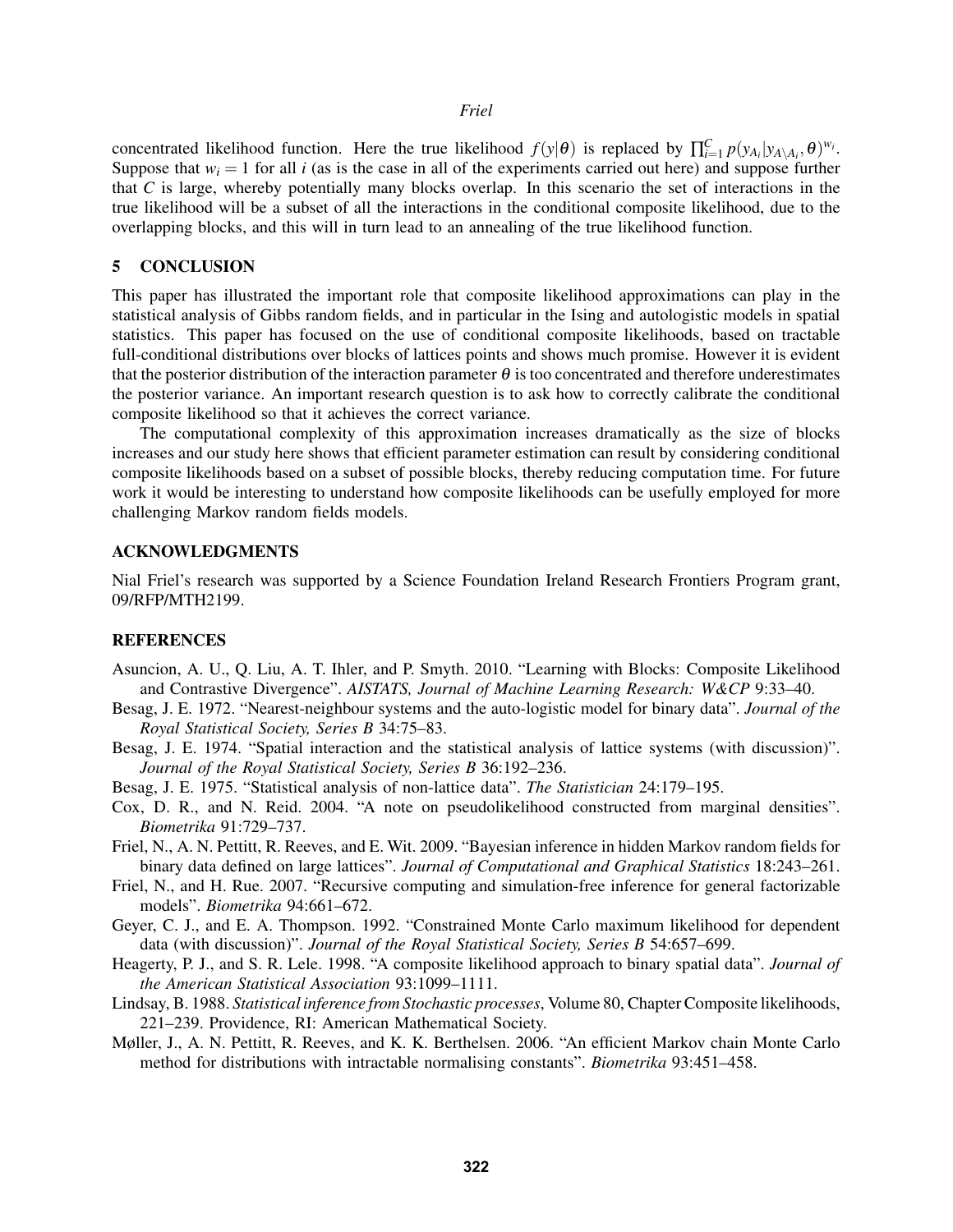## *Friel*

concentrated likelihood function. Here the true likelihood  $f(y|\theta)$  is replaced by  $\prod_{i=1}^{C} p(y_{A_i}|y_{A\setminus A_i}, \theta)^{w_i}$ . Suppose that  $w_i = 1$  for all *i* (as is the case in all of the experiments carried out here) and suppose further that *C* is large, whereby potentially many blocks overlap. In this scenario the set of interactions in the true likelihood will be a subset of all the interactions in the conditional composite likelihood, due to the overlapping blocks, and this will in turn lead to an annealing of the true likelihood function.

## 5 CONCLUSION

This paper has illustrated the important role that composite likelihood approximations can play in the statistical analysis of Gibbs random fields, and in particular in the Ising and autologistic models in spatial statistics. This paper has focused on the use of conditional composite likelihoods, based on tractable full-conditional distributions over blocks of lattices points and shows much promise. However it is evident that the posterior distribution of the interaction parameter  $\theta$  is too concentrated and therefore underestimates the posterior variance. An important research question is to ask how to correctly calibrate the conditional composite likelihood so that it achieves the correct variance.

The computational complexity of this approximation increases dramatically as the size of blocks increases and our study here shows that efficient parameter estimation can result by considering conditional composite likelihoods based on a subset of possible blocks, thereby reducing computation time. For future work it would be interesting to understand how composite likelihoods can be usefully employed for more challenging Markov random fields models.

## ACKNOWLEDGMENTS

Nial Friel's research was supported by a Science Foundation Ireland Research Frontiers Program grant, 09/RFP/MTH2199.

## **REFERENCES**

- Asuncion, A. U., Q. Liu, A. T. Ihler, and P. Smyth. 2010. "Learning with Blocks: Composite Likelihood and Contrastive Divergence". *AISTATS, Journal of Machine Learning Research: W&CP* 9:33–40.
- Besag, J. E. 1972. "Nearest-neighbour systems and the auto-logistic model for binary data". *Journal of the Royal Statistical Society, Series B* 34:75–83.
- Besag, J. E. 1974. "Spatial interaction and the statistical analysis of lattice systems (with discussion)". *Journal of the Royal Statistical Society, Series B* 36:192–236.
- Besag, J. E. 1975. "Statistical analysis of non-lattice data". *The Statistician* 24:179–195.
- Cox, D. R., and N. Reid. 2004. "A note on pseudolikelihood constructed from marginal densities". *Biometrika* 91:729–737.
- Friel, N., A. N. Pettitt, R. Reeves, and E. Wit. 2009. "Bayesian inference in hidden Markov random fields for binary data defined on large lattices". *Journal of Computational and Graphical Statistics* 18:243–261.
- Friel, N., and H. Rue. 2007. "Recursive computing and simulation-free inference for general factorizable models". *Biometrika* 94:661–672.
- Geyer, C. J., and E. A. Thompson. 1992. "Constrained Monte Carlo maximum likelihood for dependent data (with discussion)". *Journal of the Royal Statistical Society, Series B* 54:657–699.
- Heagerty, P. J., and S. R. Lele. 1998. "A composite likelihood approach to binary spatial data". *Journal of the American Statistical Association* 93:1099–1111.
- Lindsay, B. 1988. *Statistical inference from Stochastic processes*, Volume 80, Chapter Composite likelihoods, 221–239. Providence, RI: American Mathematical Society.
- Møller, J., A. N. Pettitt, R. Reeves, and K. K. Berthelsen. 2006. "An efficient Markov chain Monte Carlo method for distributions with intractable normalising constants". *Biometrika* 93:451–458.